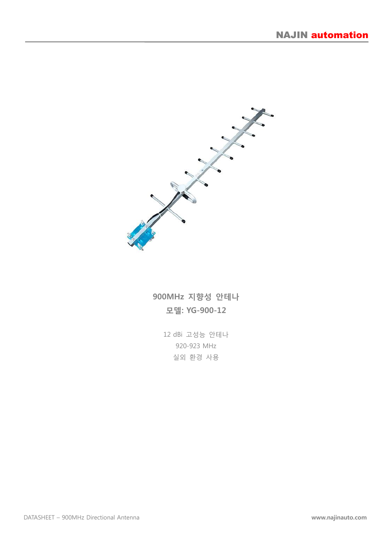

### 900MHz 지향성 안테나 모델: YG-900-12

12 dBi 고성능 안테나 920-923 MHz 실외 환경 사용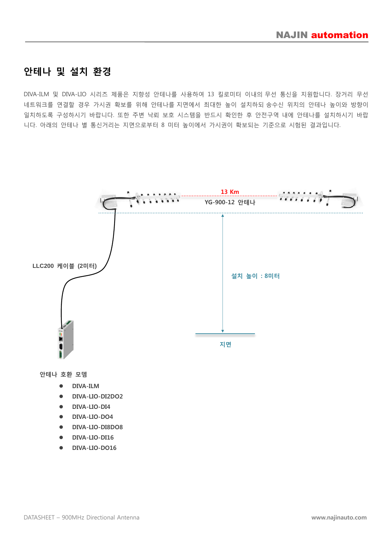#### 안테나 및 설치 환경

DIVA-ILM 및 DIVA-LIO 시리즈 제품은 지향성 안테나를 사용하여 13 킬로미터 이내의 무선 통신을 지원합니다. 장거리 무선 네트워크를 연결할 경우 가시권 확보를 위해 안테나를 지면에서 최대한 높이 설치하되 송수신 위치의 안테나 높이와 방향이 일치하도록 구성하시기 바랍니다. 또한 주변 낙뢰 보호 시스템을 반드시 확인한 후 안전구역 내에 안테나를 설치하시기 바랍 니다. 아래의 안테나 별 통신거리는 지면으로부터 8 미터 높이에서 가시권이 확보되는 기준으로 시험된 결과입니다.



- DIVA-ILM
- DIVA-LIO-DI2DO2
- DIVA-LIO-DI4
- $\bullet$  DIVA-LIO-DO4
- DIVA-LIO-DI8DO8
- $\bullet$  DIVA-LIO-DI16
- DIVA-LIO-DO16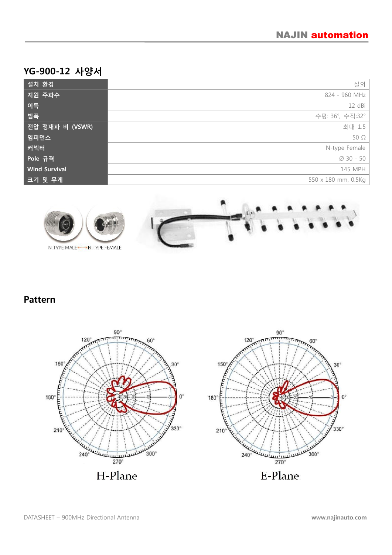# YG-900-12 사양서

| 설치 환경                | 실외                    |
|----------------------|-----------------------|
| 지원 주파수               | 824 - 960 MHz         |
| 이득                   | 12 dBi                |
| 밤폭                   | 수평: 36°, 수직:32°       |
| 전압 정재파 비 (VSWR)      | 최대 1.5                |
| 임피던스                 | $50\Omega$            |
| 커넥터                  | N-type Female         |
| Pole 규격              | $\varnothing$ 30 - 50 |
| <b>Wind Survival</b> | 145 MPH               |
| 크기 및 무게              | 550 x 180 mm, 0.5Kg   |



### Pattern